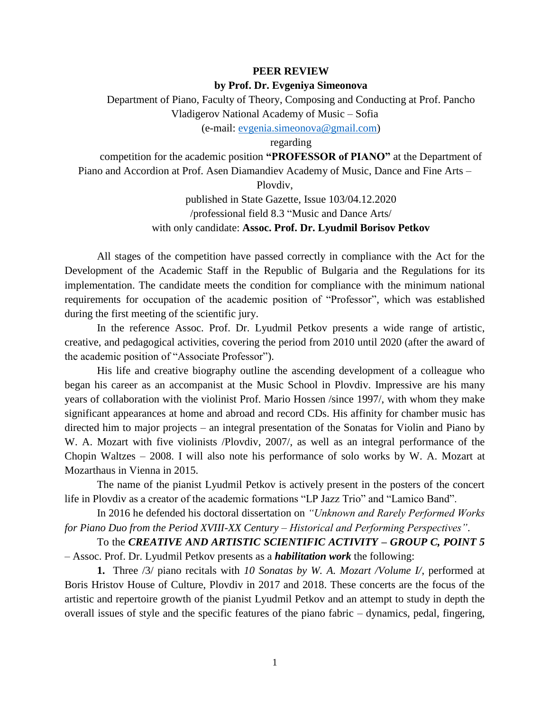## **PEER REVIEW**

## **by Prof. Dr. Evgeniya Simeonova**

Department of Piano, Faculty of Theory, Composing and Conducting at Prof. Pancho Vladigerov National Academy of Music – Sofia

(e-mail: [evgenia.simeonova@gmail.com\)](mailto:evgenia.simeonova@gmail.com)

regarding

competition for the academic position **"PROFESSOR of PIANO"** at the Department of Piano and Accordion at Prof. Asen Diamandiev Academy of Music, Dance and Fine Arts –

Plovdiv,

published in State Gazette, Issue 103/04.12.2020 /professional field 8.3 "Music and Dance Arts/ with only candidate: **Assoc. Prof. Dr. Lyudmil Borisov Petkov**

All stages of the competition have passed correctly in compliance with the Act for the Development of the Academic Staff in the Republic of Bulgaria and the Regulations for its implementation. The candidate meets the condition for compliance with the minimum national requirements for occupation of the academic position of "Professor", which was established during the first meeting of the scientific jury.

In the reference Assoc. Prof. Dr. Lyudmil Petkov presents a wide range of artistic, creative, and pedagogical activities, covering the period from 2010 until 2020 (after the award of the academic position of "Associate Professor").

His life and creative biography outline the ascending development of a colleague who began his career as an accompanist at the Music School in Plovdiv. Impressive are his many years of collaboration with the violinist Prof. Mario Hossen /since 1997/, with whom they make significant appearances at home and abroad and record CDs. His affinity for chamber music has directed him to major projects – an integral presentation of the Sonatas for Violin and Piano by W. A. Mozart with five violinists /Plovdiv, 2007/, as well as an integral performance of the Chopin Waltzes – 2008. I will also note his performance of solo works by W. A. Mozart at Mozarthaus in Vienna in 2015.

The name of the pianist Lyudmil Petkov is actively present in the posters of the concert life in Plovdiv as a creator of the academic formations "LP Jazz Trio" and "Lamico Band".

In 2016 he defended his doctoral dissertation on *"Unknown and Rarely Performed Works for Piano Duo from the Period XVIII-XX Century – Historical and Performing Perspectives"*.

To the *CREATIVE AND ARTISTIC SCIENTIFIC ACTIVITY – GROUP C, POINT 5* – Assoc. Prof. Dr. Lyudmil Petkov presents as a *habilitation work* the following:

**1.** Three /3/ piano recitals with *10 Sonatas by W. A. Mozart /Volume I/*, performed at Boris Hristov House of Culture, Plovdiv in 2017 and 2018. These concerts are the focus of the artistic and repertoire growth of the pianist Lyudmil Petkov and an attempt to study in depth the overall issues of style and the specific features of the piano fabric – dynamics, pedal, fingering,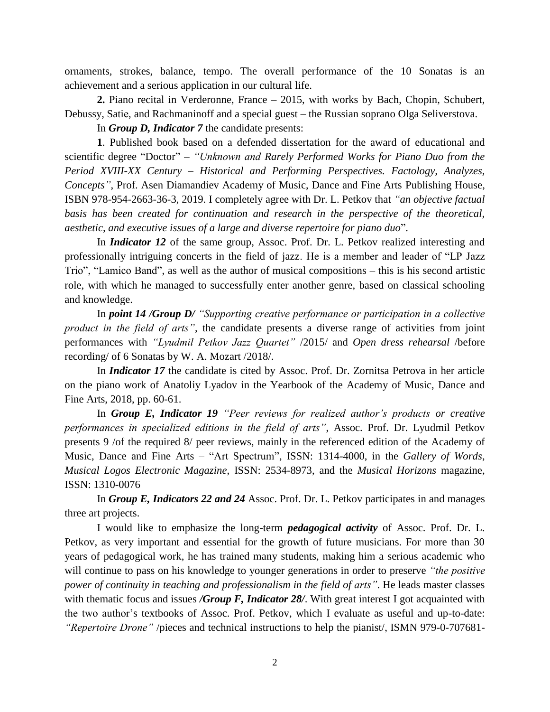ornaments, strokes, balance, tempo. The overall performance of the 10 Sonatas is an achievement and a serious application in our cultural life.

**2.** Piano recital in Verderonne, France – 2015, with works by Bach, Chopin, Schubert, Debussy, Satiе, and Rachmaninoff and a special guest – the Russian soprano Olga Seliverstova.

In *Group D, Indicator 7* the candidate presents:

**1**. Published book based on a defended dissertation for the award of educational and scientific degree "Doctor" – *"Unknown and Rarely Performed Works for Piano Duo from the Period XVIII-XX Century – Historical and Performing Perspectives. Factology, Analyzes, Concepts"*, Prof. Asen Diamandiev Academy of Music, Dance and Fine Arts Publishing House, ISBN 978-954-2663-36-3, 2019. I completely agree with Dr. L. Petkov that *"an objective factual basis has been created for continuation and research in the perspective of the theoretical, aesthetic, and executive issues of a large and diverse repertoire for piano duo*".

In *Indicator 12* of the same group, Assoc. Prof. Dr. L. Petkov realized interesting and professionally intriguing concerts in the field of jazz. He is a member and leader of "LP Jazz Trio", "Lamico Band", as well as the author of musical compositions – this is his second artistic role, with which he managed to successfully enter another genre, based on classical schooling and knowledge.

In *point 14 /Group D/ "Supporting creative performance or participation in a collective product in the field of arts"*, the candidate presents a diverse range of activities from joint performances with *"Lyudmil Petkov Jazz Quartet"* /2015/ and *Open dress rehearsal* /before recording/ of 6 Sonatas by W. A. Mozart /2018/.

In *Indicator 17* the candidate is cited by Assoc. Prof. Dr. Zornitsa Petrova in her article on the piano work of Anatoliy Lyadov in the Yearbook of the Academy of Music, Dance and Fine Arts, 2018, pp. 60-61.

In *Group E, Indicator 19 "Peer reviews for realized author's products or creative performances in specialized editions in the field of arts"*, Assoc. Prof. Dr. Lyudmil Petkov presents 9 /of the required 8/ peer reviews, mainly in the referenced edition of the Academy of Music, Dance and Fine Arts – "Art Spectrum", ISSN: 1314-4000, in the *Gallery of Words*, *Musical Logos Electronic Magazine*, ISSN: 2534-8973, and the *Musical Horizons* magazine, ISSN: 1310-0076

In *Group E, Indicators 22 and 24* Assoc. Prof. Dr. L. Petkov participates in and manages three art projects.

I would like to emphasize the long-term *pedagogical activity* of Assoc. Prof. Dr. L. Petkov, as very important and essential for the growth of future musicians. For more than 30 years of pedagogical work, he has trained many students, making him a serious academic who will continue to pass on his knowledge to younger generations in order to preserve *"the positive power of continuity in teaching and professionalism in the field of arts"*. He leads master classes with thematic focus and issues */Group F, Indicator 28/*. With great interest I got acquainted with the two author's textbooks of Assoc. Prof. Petkov, which I evaluate as useful and up-to-date: *"Repertoire Drone"* /pieces and technical instructions to help the pianist/, ISMN 979-0-707681